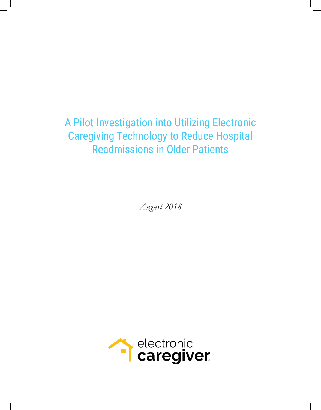A Pilot Investigation into Utilizing Electronic Caregiving Technology to Reduce Hospital Readmissions in Older Patients

*August 2018*

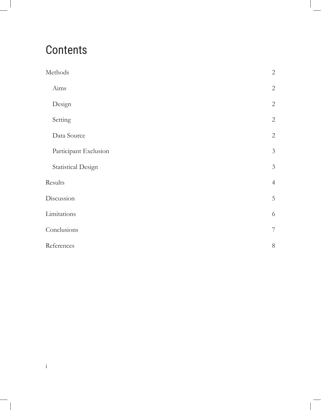# **Contents**

i

| Methods                   | $\sqrt{2}$       |
|---------------------------|------------------|
| Aims                      | $\sqrt{2}$       |
| Design                    | $\sqrt{2}$       |
| Setting                   | $\sqrt{2}$       |
| Data Source               | $\sqrt{2}$       |
| Participant Exclusion     | $\mathfrak{Z}$   |
| <b>Statistical Design</b> | $\mathfrak{Z}$   |
| Results                   | $\overline{4}$   |
| Discussion                | $\mathbf 5$      |
| Limitations               | $\sqrt{6}$       |
| Conclusions               | $\boldsymbol{7}$ |
| References                | $8\,$            |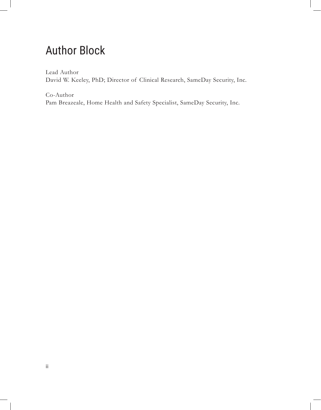### Author Block

Lead Author David W. Keeley, PhD; Director of Clinical Research, SameDay Security, Inc.

Co-Author Pam Breazeale, Home Health and Safety Specialist, SameDay Security, Inc.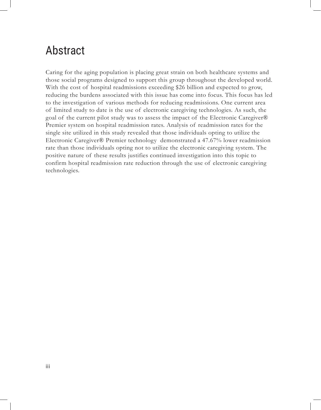#### Abstract

Caring for the aging population is placing great strain on both healthcare systems and those social programs designed to support this group throughout the developed world. With the cost of hospital readmissions exceeding \$26 billion and expected to grow, reducing the burdens associated with this issue has come into focus. This focus has led to the investigation of various methods for reducing readmissions. One current area of limited study to date is the use of electronic caregiving technologies. As such, the goal of the current pilot study was to assess the impact of the Electronic Caregiver® Premier system on hospital readmission rates. Analysis of readmission rates for the single site utilized in this study revealed that those individuals opting to utilize the Electronic Caregiver® Premier technology demonstrated a 47.67% lower readmission rate than those individuals opting not to utilize the electronic caregiving system. The positive nature of these results justifies continued investigation into this topic to confirm hospital readmission rate reduction through the use of electronic caregiving technologies.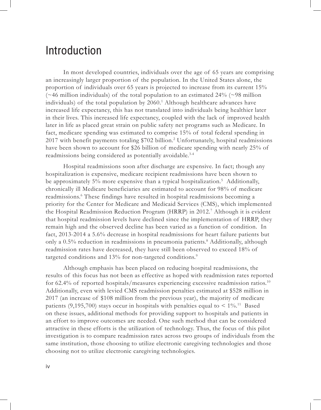#### Introduction

In most developed countries, individuals over the age of 65 years are comprising an increasingly larger proportion of the population. In the United States alone, the proportion of individuals over 65 years is projected to increase from its current 15% ( $\sim$ 46 million individuals) of the total population to an estimated 24% ( $\sim$ 98 million individuals) of the total population by 2060.<sup>1</sup> Although healthcare advances have increased life expectancy, this has not translated into individuals being healthier later in their lives. This increased life expectancy, coupled with the lack of improved health later in life as placed great strain on public safety net programs such as Medicare. In fact, medicare spending was estimated to comprise 15% of total federal spending in 2017 with benefit payments totaling \$702 billion.2 Unfortunately, hospital readmissions have been shown to account for \$26 billion of medicare spending with nearly 25% of readmissions being considered as potentially avoidable.3-4

Hospital readmissions soon after discharge are expensive. In fact; though any hospitalization is expensive, medicare recipient readmissions have been shown to be approximately 5% more expensive than a typical hospitalization.<sup>5</sup> Additionally, chronically ill Medicare beneficiaries are estimated to account for 98% of medicare readmissions.<sup>6</sup> These findings have resulted in hospital readmissions becoming a priority for the Center for Medicare and Medicaid Services (CMS), which implemented the Hospital Readmission Reduction Program (HRRP) in 2012.<sup>7</sup> Although it is evident that hospital readmission levels have declined since the implementation of HRRP, they remain high and the observed decline has been varied as a function of condition. In fact, 2013-2014 a 5.6% decrease in hospital readmissions for heart failure patients but only a 0.5% reduction in readmissions in pneumonia patients.<sup>8</sup> Additionally, although readmission rates have decreased, they have still been observed to exceed 18% of targeted conditions and 13% for non-targeted conditions.<sup>9</sup>

Although emphasis has been placed on reducing hospital readmissions, the results of this focus has not been as effective as hoped with readmission rates reported for 62.4% of reported hospitals/measures experiencing excessive readmission ratios.<sup>10</sup> Additionally, even with levied CMS readmission penalties estimated at \$528 million in 2017 (an increase of \$108 million from the previous year), the majority of medicare patients (9,195,700) stays occur in hospitals with penalties equal to  $\leq 1\%$ .<sup>11</sup> Based on these issues, additional methods for providing support to hospitals and patients in an effort to improve outcomes are needed. One such method that can be considered attractive in these efforts is the utilization of technology. Thus, the focus of this pilot investigation is to compare readmission rates across two groups of individuals from the same institution, those choosing to utilize electronic caregiving technologies and those choosing not to utilize electronic caregiving technologies.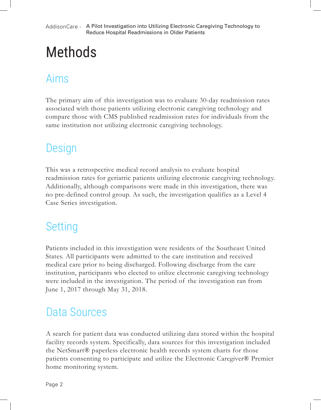AddisonCare - A Pilot Investigation into Utilizing Electronic Caregiving Technology to Reduce Hospital Readmissions in Older Patients

# Methods

## Aims

The primary aim of this investigation was to evaluate 30-day readmission rates associated with those patients utilizing electronic caregiving technology and compare those with CMS published readmission rates for individuals from the same institution not utilizing electronic caregiving technology.

### Design

This was a retrospective medical record analysis to evaluate hospital readmission rates for geriatric patients utilizing electronic caregiving technology. Additionally, although comparisons were made in this investigation, there was no pre-defined control group. As such, the investigation qualifies as a Level 4 Case Series investigation.

### Setting

Patients included in this investigation were residents of the Southeast United States. All participants were admitted to the care institution and received medical care prior to being discharged. Following discharge from the care institution, participants who elected to utilize electronic caregiving technology were included in the investigation. The period of the investigation ran from June 1, 2017 through May 31, 2018.

## Data Sources

A search for patient data was conducted utilizing data stored within the hospital facility records system. Specifically, data sources for this investigation included the NetSmart® paperless electronic health records system charts for those patients consenting to participate and utilize the Electronic Caregiver® Premier home monitoring system.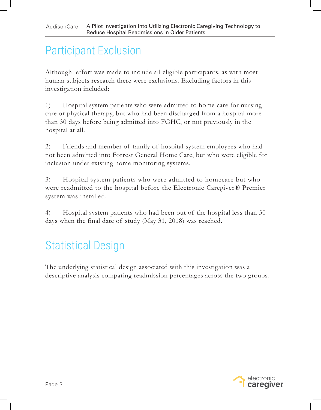# Participant Exclusion

Although effort was made to include all eligible participants, as with most human subjects research there were exclusions. Excluding factors in this investigation included:

1) Hospital system patients who were admitted to home care for nursing care or physical therapy, but who had been discharged from a hospital more than 30 days before being admitted into FGHC, or not previously in the hospital at all.

2) Friends and member of family of hospital system employees who had not been admitted into Forrest General Home Care, but who were eligible for inclusion under existing home monitoring systems.

3) Hospital system patients who were admitted to homecare but who were readmitted to the hospital before the Electronic Caregiver® Premier system was installed.

4) Hospital system patients who had been out of the hospital less than 30 days when the final date of study (May 31, 2018) was reached.

# Statistical Design

The underlying statistical design associated with this investigation was a descriptive analysis comparing readmission percentages across the two groups.

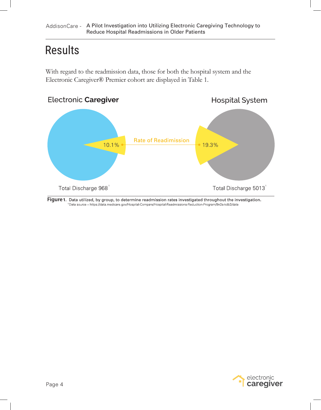### Results

With regard to the readmission data, those for both the hospital system and the Electronic Caregiver® Premier cohort are displayed in Table 1.



Figure 1. Data utilized, by group, to determine readmission rates investigated throughout the investigation. 1Data source - https://data.medicare.gov/Hospital-Compare/Hospital-Readmissions-Reduction-Program/9n3s-kdb3/data

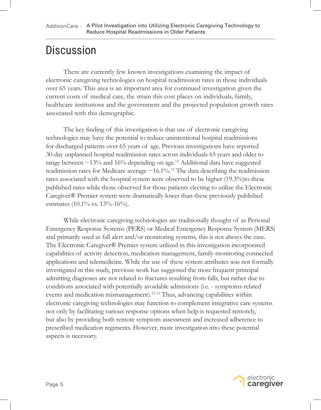### **Discussion**

There are currently few known investigations examining the impact of electronic caregiving technologies on hospital readmission rates in those individuals over 65 years. This area is an important area for continued investigation given the current costs of medical care, the strain this cost places on individuals, family, healthcare institutions and the government and the projected population growth rates associated with this demographic.

 The key finding of this investigation is that use of electronic caregiving technologies may have the potential to reduce unintentional hospital readmissions for discharged patients over 65 years of age. Previous investigations have reported 30-day unplanned hospital readmission rates across individuals 65 years and older to range between  $\sim$ 13% and 16% depending on age.<sup>12</sup> Additional data have suggested readmission rates for Medicare average  $\sim$  16.1%.<sup>12</sup> The data describing the readmission rates associated with the hospital system were observed to be higher (19.3%) to these published rates while those observed for those patients electing to utilize the Electronic Caregiver® Premier system were dramatically lower than these previously published estimates  $(10.1\% \text{ vs. } 13\% - 16\%).$ 

While electronic caregiving technologies are traditionally thought of as Personal Emergency Response Systems (PERS) or Medical Emergency Response System (MERS) and primarily used as fall alert and/or monitoring systems, this is not always the case. The Electronic Caregiver® Premier system utilized in this investigation incorporated capabilities of activity detection, medication management, family monitoring connected applications and telemedicine. While the use of these system attributes was not formally investigated in this study, previous work has suggested the most frequent principal admitting diagnoses are not related to fractures resulting from falls, but rather due to conditions associated with potentially avoidable admissions (i.e. - symptoms-related events and medication mismanagement).12-13 Thus, advancing capabilities within electronic caregiving technologies may function to complement integrative care systems not only by facilitating various response options when help is requested remotely, but also by providing both remote symptom assessment and increased adherence to prescribed medication regiments. However, more investigation into these potential aspects is necessary.

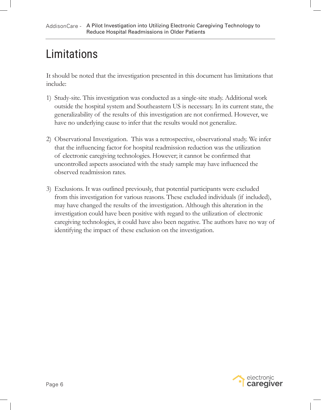# Limitations

It should be noted that the investigation presented in this document has limitations that include:

- Study-site. This investigation was conducted as a single-site study. Additional work 1) outside the hospital system and Southeastern US is necessary. In its current state, the generalizability of the results of this investigation are not confirmed. However, we have no underlying cause to infer that the results would not generalize.
- Observational Investigation. This was a retrospective, observational study. We infer 2) that the influencing factor for hospital readmission reduction was the utilization of electronic caregiving technologies. However; it cannot be confirmed that uncontrolled aspects associated with the study sample may have influenced the observed readmission rates.
- Exclusions. It was outlined previously, that potential participants were excluded 3)from this investigation for various reasons. These excluded individuals (if included), may have changed the results of the investigation. Although this alteration in the investigation could have been positive with regard to the utilization of electronic caregiving technologies, it could have also been negative. The authors have no way of identifying the impact of these exclusion on the investigation.

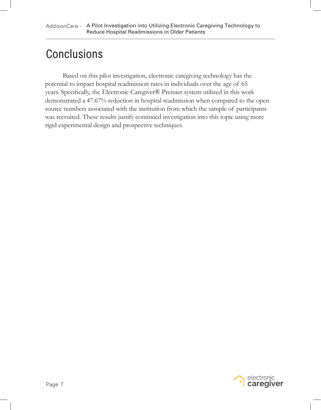#### **Conclusions**

Based on this pilot investigation, electronic caregiving technology has the potential to impact hospital readmission rates in individuals over the age of 65 years. Specifically, the Electronic Caregiver® Premier system utilized in this work demonstrated a 47.67% reduction in hospital readmission when compared to the open source numbers associated with the institution from which the sample of participants was recruited. These results justify continued investigation into this topic using more rigid experimental design and prospective techniques.

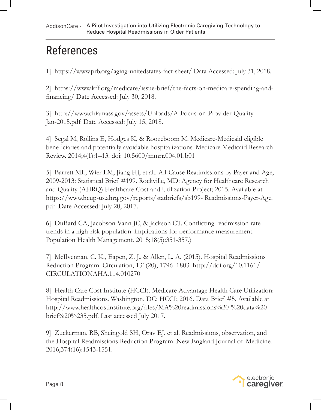# References

1] https://www.prb.org/aging-unitedstates-fact-sheet/ Data Accessed: July 31, 2018.

2] https://www.kff.org/medicare/issue-brief/the-facts-on-medicare-spending-andfinancing/ Date Accessed: July 30, 2018.

3] http://www.chiamass.gov/assets/Uploads/A-Focus-on-Provider-Quality-Jan-2015.pdf Date Accessed: July 15, 2018.

4] Segal M, Rollins E, Hodges K, & Roozeboom M. Medicare-Medicaid eligible beneficiaries and potentially avoidable hospitalizations. Medicare Medicaid Research Review. 2014;4(1):1–13. doi: 10.5600/mmrr.004.01.b01

5] Barrett ML, Wier LM, Jiang HJ, et al.. All-Cause Readmissions by Payer and Age, 2009-2013: Statistical Brief #199. Rockville, MD: Agency for Healthcare Research and Quality (AHRQ) Healthcare Cost and Utilization Project; 2015. Available at https://www.hcup-us.ahrq.gov/reports/statbriefs/sb199- Readmissions-Payer-Age. pdf. Date Accessed: July 20, 2017.

6] DuBard CA, Jacobson Vann JC, & Jackson CT. Conflicting readmission rate trends in a high-risk population: implications for performance measurement. Population Health Management. 2015;18(5):351-357.)

7] McIlvennan, C. K., Eapen, Z. J., & Allen, L. A. (2015). Hospital Readmissions Reduction Program. Circulation, 131(20), 1796–1803. http://doi.org/10.1161/ CIRCULATIONAHA.114.010270

8] Health Care Cost Institute (HCCI). Medicare Advantage Health Care Utilization: Hospital Readmissions. Washington, DC: HCCI; 2016. Data Brief #5. Available at http://www.healthcostinstitute.org/files/MA%20readmissions%20-%20data%20 brief%20%235.pdf. Last accessed July 2017.

9] Zuckerman, RB, Sheingold SH, Orav EJ, et al. Readmissions, observation, and the Hospital Readmissions Reduction Program. New England Journal of Medicine. 2016;374(16):1543-1551.

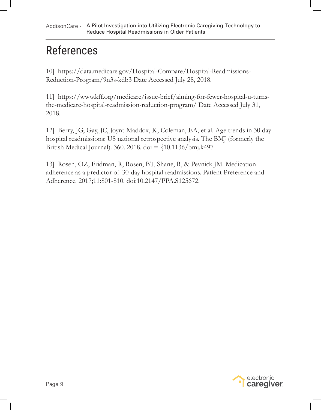# References

10] https://data.medicare.gov/Hospital-Compare/Hospital-Readmissions-Reduction-Program/9n3s-kdb3 Date Accessed July 28, 2018.

11] https://www.kff.org/medicare/issue-brief/aiming-for-fewer-hospital-u-turnsthe-medicare-hospital-readmission-reduction-program/ Date Accessed July 31, 2018.

12] Berry, JG, Gay, JC, Joynt-Maddox, K, Coleman, EA, et al. Age trends in 30 day hospital readmissions: US national retrospective analysis. The BMJ (formerly the British Medical Journal). 360. 2018. doi =  $\{10.1136/bm, k497\}$ 

13] Rosen, OZ, Fridman, R, Rosen, BT, Shane, R, & Pevnick JM. Medication adherence as a predictor of 30-day hospital readmissions. Patient Preference and Adherence. 2017;11:801-810. doi:10.2147/PPA.S125672.